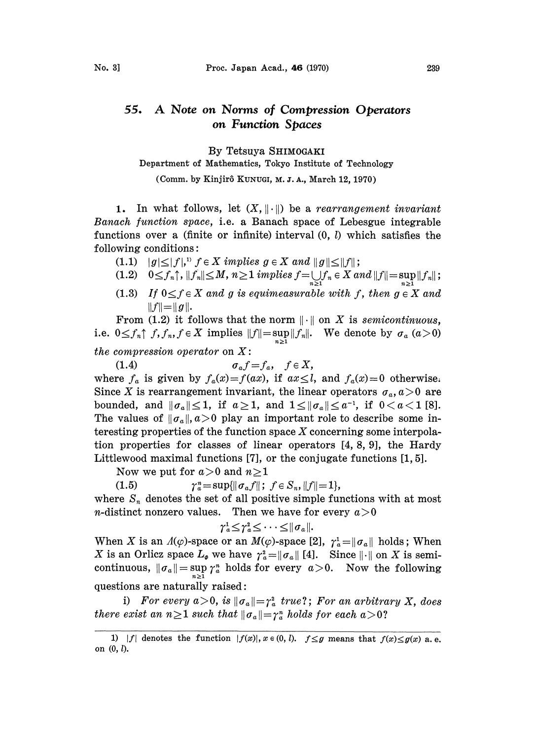## A Note on Norms of Compression Operators  $55.$ on Function Spaces

## By Tetsuya SHIMOGAKI

## Department of Mathematics, Tokyo Institute of Technology

(Comm. by Kinjirô Kunugi, M. J. A., March 12, 1970)

1. In what follows, let  $(X, \|\cdot\|)$  be a rearrangement invariant Banach function space, i.e. a Banach space of Lebesgue integrable functions over a (finite or infinite) interval  $(0, l)$  which satisfies the following conditions:

- (1.1)  $|g| \leq |f|$ ,  $f \in X$  implies  $g \in X$  and  $||g|| \leq ||f||$ ;
- (1.2)  $0 \leq f_n \uparrow, ||f_n|| \leq M, n \geq 1$  implies  $f = \bigcup_{n \geq 1} f_n \in X$  and  $||f|| = \sup_{n \geq 1} ||f_n||$ ;
- (1.3) If  $0 \le f \in X$  and g is equimeasurable with f, then  $g \in X$  and  $||f|| = ||g||.$

From (1.2) it follows that the norm  $\|\cdot\|$  on X is semicontinuous, i.e.  $0 \le f_n \uparrow f, f_n, f \in X$  implies  $||f|| = \sup_{n \ge 1} ||f_n||$ . We denote by  $\sigma_a$   $(a > 0)$ 

the compression operator on  $X$ :

(1.4)  $\sigma_a f = f_a, \quad f \in X,$ where  $f_a$  is given by  $f_a(x)=f(ax)$ , if  $ax\leq l$ , and  $f_a(x)=0$  otherwise. Since X is rearrangement invariant, the linear operators  $\sigma_a$ ,  $a>0$  are bounded, and  $\|\sigma_a\| \leq 1$ , if  $a \geq 1$ , and  $1 \leq \|\sigma_a\| \leq a^{-1}$ , if  $0 < a < 1$  [8]. The values of  $\|\sigma_a\|$ ,  $a>0$  play an important role to describe some interesting properties of the function space  $X$  concerning some interpolation properties for classes of linear operators [4, 8, 9], the Hardy Littlewood maximal functions [7], or the conjugate functions [1, 5].

Now we put for  $a>0$  and  $n\geq 1$ 

$$
(1.5) \t\t\t\t\t\t\gamma_a^n = \sup\{\|\sigma_a f\|; \ f \in S_n, \|f\|=1\},
$$

where  $S_n$  denotes the set of all positive simple functions with at most *n*-distinct nonzero values. Then we have for every  $a > 0$ 

$$
\gamma^1_a \!\leq\! \gamma^2_a \!\leq\! \cdots \!\leq\! \|\sigma_a\|.
$$

When X is an  $\Lambda(\varphi)$ -space or an  $M(\varphi)$ -space [2],  $\gamma_a^1 = ||\sigma_a||$  holds; When X is an Orliez space  $L_{\varphi}$  we have  $\gamma_a^2 = ||\sigma_a||$  [4]. Since  $||\cdot||$  on X is semicontinuous,  $\|\sigma_a\| = \sup_{n\geq 1} \gamma_a^n$  holds for every  $a > 0$ . Now the following questions are naturally raised:

i) For every  $a > 0$ , is  $\|\sigma_a\| = \gamma_a^2$  true?; For an arbitrative exist an  $n \geq 1$  such that  $\|\sigma_a\| = \gamma_a^n$  holds for each  $a > 0$ ? i) For every  $a>0$ , is  $||\sigma_a||=r_a^2$  true?; For an arbitrary X, does

<sup>1) |</sup>f| denotes the function  $|f(x)|$ ,  $x \in (0, l)$ .  $f \leq g$  means that  $f(x) \leq g(x)$  a.e. on  $(0, l)$ .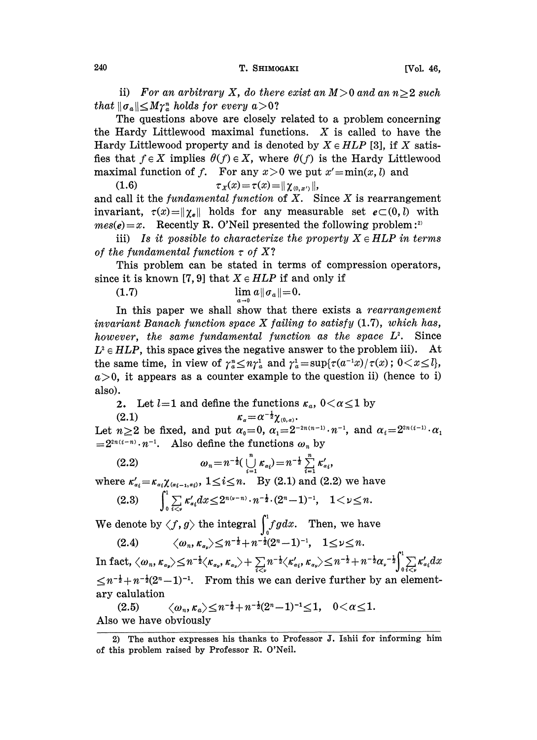ii) For an arbitrary X, do there exist an  $M > 0$  and an  $n > 2$  such that  $\|\sigma_a\| \leq M\gamma_a^n$  holds for every  $a > 0$ ?

The questions above are closely related to a problem concerning the Hardy Littlewood maximal functions.  $X$  is called to have the Hardy Littlewood property and is denoted by  $X \in HLP$  [3], if X satisfies that  $f \in X$  implies  $\theta(f) \in X$ , where  $\theta(f)$  is the Hardy Littlewood maximal function of f. For any  $x > 0$  we put  $x' = min(x, l)$  and

(1.6)  $\tau_X(x) = \tau(x) = || \chi_{(0, x')} ||,$ and call it the fundamental function of  $X$ . Since  $X$  is rearrangement invariant,  $\tau(x)=\|\gamma_{e}\|$  holds for any measurable set  $e\subset(0,1)$  with  $mes(e)=x.$  Recently R. O'Neil presented the following problem:<sup>2)</sup>

iii) Is it possible to characterize the property  $X \in HLP$  in terms of the fundamental function  $\tau$  of X?

This problem can be stated in terms of compression operators, since it is known [7, 9] that  $X \in HLP$  if and only if

(1.7) 
$$
\lim_{a \to 0} a \| \sigma_a \| = 0.
$$

In this paper we shall show that there exists a rearrangement invariant Banach function space  $X$  failing to satisfy  $(1.7)$ , which has, however, the same fundamental function as the space  $L^2$ . Since  $L^2 \in HLP$ , this space gives the negative answer to the problem iii). At the same time, in view of  $\gamma_a^* \leq n\gamma_a^1$  and  $\gamma_a^1 = \sup{\{\tau(a^{-1}x)/\tau(x)\}}$ ;  $0 < x \leq l$ ,  $a>0$ , it appears as a counter example to the question ii) (hence to i) also).

2. Let  $l=1$  and define the functions  $\kappa_a$ ,  $0<\alpha\leq 1$  by (2.1)  $\kappa_a=\alpha^{-\frac{1}{2}}\chi_{(0,a)}$ .

(2.1) Let  $n\geq 2$  be fixed, and put  $\alpha_0=0$ ,  $\alpha_1=2^{-2n(n-1)}\cdot n^{-1}$ , and  $\alpha_i=2^{2n(i-1)}\cdot \alpha_1$  $=2^{2n(i-n)}\cdot n^{-1}$ . Also define the functions  $\omega_n$  by

(2.2) 
$$
\omega_n = n^{-\frac{1}{2}} \left( \bigcup_{i=1}^n \kappa_{\alpha_i} \right) = n^{-\frac{1}{2}} \sum_{i=1}^n \kappa'_{\alpha_i},
$$

where  $\kappa'_{\alpha_i} = \kappa_{\alpha_i} \chi_{(\alpha_{i-1}, \alpha_i)}$ ,  $1 \leq i \leq n$ . By (2.1) and (2.2) we have

$$
(2.3) \qquad \int_0^{\infty} \sum_{i < \nu} \kappa'_{\alpha_i} dx \leq 2^{n(\nu - n)} \cdot n^{-\frac{1}{2}} \cdot (2^n - 1)^{-1}, \quad 1 < \nu \leq n.
$$

We denote by  $\langle f, g \rangle$  the integral  $\int_0^1 f g dx$ . Then, we have

(2.4)  $\langle \omega_n, \kappa_{\alpha_\nu} \rangle \leq n^{-\frac{1}{2}}+n^{-\frac{1}{2}}(2^n-1)^{-1}, \quad 1 \leq \nu \leq n.$ 

In fact,  $\langle \omega_n, \kappa_{\alpha_\nu} \rangle \leq n^{-\frac{1}{2}} \langle \kappa_{\alpha_\nu}, \kappa_{\alpha_\nu} \rangle + \sum_{i \leq \nu} n^{-\frac{1}{2}} \langle \kappa'_{\alpha_i}, \kappa_{\alpha_\nu} \rangle \leq n^{-\frac{1}{2}} + n^{-\frac{1}{2}} \alpha^{-\frac{1}{2}}$ <br>  $\leq n^{-\frac{1}{2}} + n^{-\frac{1}{2}} (2^n - 1)^{-1}$ . From this we can derive further by an ary calul  $\leq n^{-\frac{1}{2}}+n^{-\frac{1}{2}}(2^n-1)^{-1}$ . From this we can derive further by an element-<br>ary calulation ary calulation

 $\langle \omega_n, \kappa_a \rangle \leq n^{-\frac{1}{2}} + n^{-\frac{1}{2}} (2^n - 1)^{-1} \leq 1, \quad 0 < \alpha \leq 1.$ Also we have obviously

<sup>2)</sup> The author expresses his thanks to Professor J. Ishii for informing him of this problem raised by Professor R. O'Neil.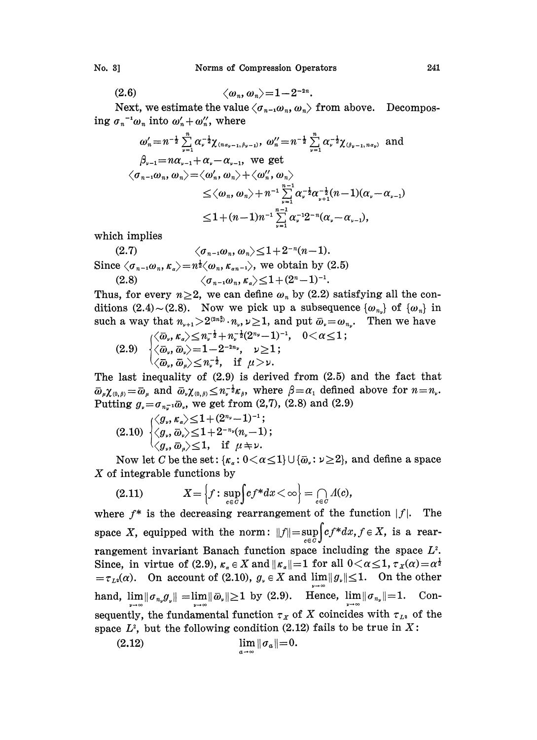$$
\langle \omega_n, \omega_n \rangle = 1 - 2^{-2n}
$$

Next, we estimate the value  $\langle \sigma_{n-1} \omega_n, \omega_n \rangle$  from above. Decomposing  $\sigma_n^{-1} \omega_n$  into  $\omega'_n + \omega''_n$ , where

$$
\omega'_{n} = n^{-\frac{1}{2}} \sum_{\nu=1}^{n} \alpha_{\nu}^{-\frac{1}{2}} \chi_{(n\alpha_{\nu-1}, \beta_{\nu-1})}, \ \omega''_{n} = n^{-\frac{1}{2}} \sum_{\nu=1}^{n} \alpha_{\nu}^{-\frac{1}{2}} \chi_{(\beta_{\nu-1}, n\alpha_{\nu})} \ \text{and}
$$
\n
$$
\beta_{\nu-1} = n\alpha_{\nu-1} + \alpha_{\nu} - \alpha_{\nu-1}, \ \text{we get}
$$
\n
$$
\langle \sigma_{n-1} \omega_{n}, \omega_{n} \rangle = \langle \omega'_{n}, \omega_{n} \rangle + \langle \omega''_{n}, \omega_{n} \rangle
$$
\n
$$
\leq \langle \omega_{n}, \omega_{n} \rangle + n^{-1} \sum_{\nu=1}^{n-1} \alpha_{\nu}^{-\frac{1}{2}} \alpha_{\nu+1}^{-\frac{1}{2}} (n-1) (\alpha_{\nu} - \alpha_{\nu-1})
$$
\n
$$
\leq 1 + (n-1) n^{-1} \sum_{\nu=1}^{n-1} \alpha_{\nu}^{-1} 2^{-n} (\alpha_{\nu} - \alpha_{\nu-1}),
$$

which implies

$$
(2.7) \qquad \begin{aligned} \langle \sigma_{n-1} \omega_n, \omega_n \rangle &\leq 1 + 2^{-n} (n-1).\\ \text{Since } \langle \sigma_{n-1} \omega_n, \kappa_{\alpha} \rangle &= n^{\frac{1}{2}} \langle \omega_n, \kappa_{\alpha n-1} \rangle, \text{ we obtain by (2.5)}\\ (2.8) \qquad \langle \sigma_{n-1} \omega_n, \kappa_{\alpha} \rangle &\leq 1 + (2^n - 1)^{-1}. \end{aligned}
$$

Thus, for every  $n \geq 2$ , we can define  $\omega_n$  by (2.2) satisfying all the conditions (2.4) ~ (2.8). Now we pick up a subsequence  $\{\omega_{n}\}\$  of  $\{\omega_n\}$  in such a way that  $n_{\nu+1} > 2^{(2n_{\nu}^2)} \cdot n_{\nu}$ ,  $\nu \ge 1$ , and put  $\bar{\omega}_{\nu} = \omega_{n_{\nu}}$ . Then we have  $0 < \alpha < 1$ :

$$
(2.9) \quad \begin{cases} \langle \bar{\omega}_{\nu}, \kappa_{\alpha} \rangle \leq n_{\nu}^{-\frac{1}{2}} + n_{\nu}^{-\frac{1}{2}} (2^{n_{\nu}}-1)^{-1}, \\ \langle \bar{\omega}_{\nu}, \bar{\omega}_{\nu} \rangle = 1 - 2^{-2n_{\nu}}, \quad \nu \geq 1 \\ \langle \bar{\omega}_{\omega}, \bar{\omega}_{\alpha} \rangle \leq n_{\nu}^{-\frac{1}{2}}, \quad \text{if} \quad \mu > \nu. \end{cases}
$$

The last inequality of  $(2.9)$  is derived from  $(2.5)$  and the fact that  $\overline{\omega}_{\mu}\chi_{(0,\beta)} = \overline{\omega}_{\mu}$  and  $\overline{\omega}_{\nu}\chi_{(0,\beta)} \leq n_{\nu}^{-\frac{1}{2}}\kappa_{\beta}$ , where  $\beta = \alpha_1$  defined above for  $n = n_{\nu}$ . Putting  $g_y = \sigma_{n_x^{-1}} \bar{\omega}_y$ , we get from (2,7), (2.8) and (2.9)

$$
(2.10) \begin{cases} \langle g_{\nu}, \kappa_{\alpha} \rangle \leq 1 + (2^{n_{\nu}} - 1)^{-1}; \\ \langle g_{\nu}, \bar{\omega}_{\nu} \rangle \leq 1 + 2^{-n_{\nu}} (n_{\nu} - 1); \\ \langle g_{\nu}, \bar{\omega}_{\alpha} \rangle \leq 1, \quad \text{if } \mu \neq \nu. \end{cases}
$$

Now let C be the set:  $\{\kappa_a: 0 < \alpha \leq 1\} \cup \{\bar{\omega}_a: \nu \geq 2\}$ , and define a space  $X$  of integrable functions by

(2.11) 
$$
X = \left\{ f : \sup_{c \in C} \int f^* dx < \infty \right\} = \bigcap_{c \in C} \Lambda(c)
$$

where  $f^*$  is the decreasing rearrangement of the function  $|f|$ . The space X, equipped with the norm:  $||f|| = \sup_{c \in C} \int_{c}^{d} cf^* dx, f \in X$ , is a rearrangement invariant Banach function space including the space  $L^2$ . Since, in virtue of (2.9),  $\kappa_{\alpha} \in X$  and  $||\kappa_{\alpha}|| = 1$  for all  $0 < \alpha \leq 1$ ,  $\tau_X(\alpha) = \alpha^{\frac{1}{2}}$  $=\tau_{L^2}(\alpha)$ . On account of (2.10),  $g_* \in X$  and  $\lim ||g_*|| \leq 1$ . On the other hand,  $\lim_{\nu \to \infty} ||\sigma_{n_{\nu}} g_{\nu}|| = \lim_{\nu \to \infty} ||\bar{\omega}_{\nu}|| \ge 1$  by (2.9). Hence,  $\lim_{\nu \to \infty} ||\sigma_{n_{\nu}}|| = 1$ . Consequently, the fundamental function  $\tau_X$  of X coincides with  $\tau_{L^2}$  of the space  $L^2$ , but the following condition (2.12) fails to be true in X:

$$
\lim_{a\to\infty}\|\sigma_a\|=0.
$$

241